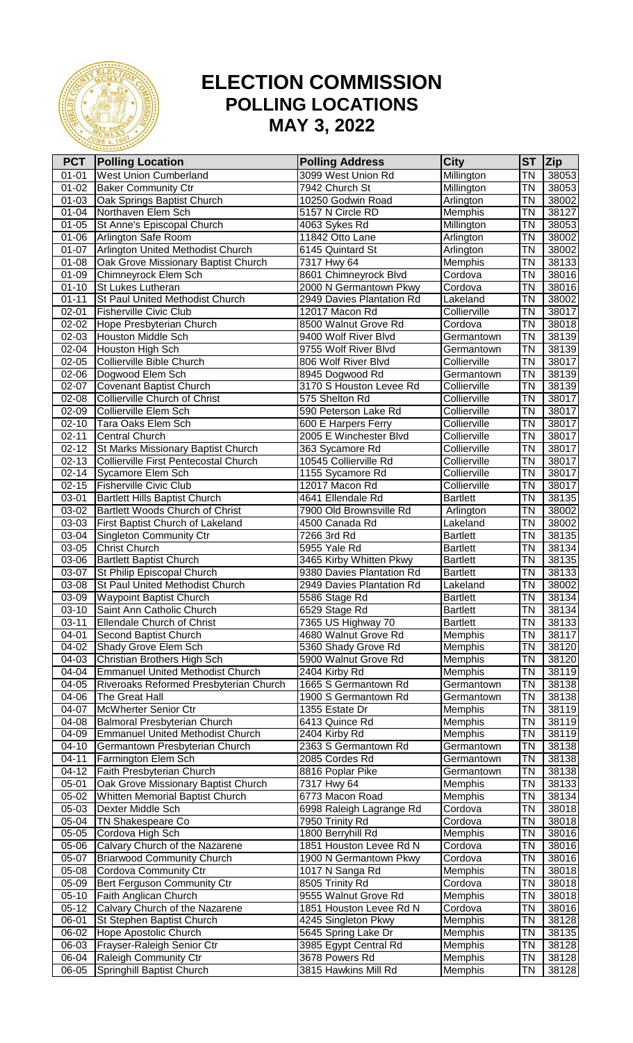

## **ELECTION COMMISSION POLLING LOCATIONS MAY 3, 2022**

| <b>PCT</b>             | <b>Polling Location</b>                                              | <b>Polling Address</b>                               | <b>City</b>          | <b>ST</b>              | Zip            |
|------------------------|----------------------------------------------------------------------|------------------------------------------------------|----------------------|------------------------|----------------|
| $01 - 01$              | <b>West Union Cumberland</b>                                         | 3099 West Union Rd                                   | Millington           | <b>TN</b>              | 38053          |
| $01 - 02$              | <b>Baker Community Ctr</b>                                           | 7942 Church St                                       | Millington           | <b>TN</b>              | 38053          |
| $01 - 03$              | Oak Springs Baptist Church                                           | 10250 Godwin Road                                    | Arlington            | <b>TN</b>              | 38002          |
| $01 - 04$              | Northaven Elem Sch                                                   | 5157 N Circle RD                                     | Memphis              | <b>TN</b>              | 38127          |
| $01 - 05$              | St Anne's Episcopal Church                                           | 4063 Sykes Rd                                        | Millington           | ΤN                     | 38053          |
| $01 - 06$              | Arlington Safe Room                                                  | 11842 Otto Lane                                      | Arlington            | ΤN                     | 38002          |
| $01 - 07$              | Arlington United Methodist Church                                    | 6145 Quintard St                                     | Arlington            | <b>TN</b>              | 38002          |
| $01 - 08$              | Oak Grove Missionary Baptist Church                                  | 7317 Hwy 64                                          | Memphis              | ΤN                     | 38133          |
| $01 - 09$              | Chimneyrock Elem Sch                                                 | 8601 Chimneyrock Blvd                                | Cordova              | <b>TN</b>              | 38016          |
| $01 - 10$<br>$01 - 11$ | St Lukes Lutheran<br><b>St Paul United Methodist Church</b>          | 2000 N Germantown Pkwy<br>2949 Davies Plantation Rd  | Cordova<br>Lakeland  | <b>TN</b><br><b>TN</b> | 38016<br>38002 |
| $02 - 01$              | <b>Fisherville Civic Club</b>                                        | 12017 Macon Rd                                       | Collierville         | ΤN                     | 38017          |
| 02-02                  | Hope Presbyterian Church                                             | 8500 Walnut Grove Rd                                 | Cordova              | <b>TN</b>              | 38018          |
| 02-03                  | Houston Middle Sch                                                   | 9400 Wolf River Blvd                                 | Germantown           | <b>TN</b>              | 38139          |
| 02-04                  | Houston High Sch                                                     | 9755 Wolf River Blvd                                 | Germantown           | <b>TN</b>              | 38139          |
| $02 - 05$              | Collierville Bible Church                                            | 806 Wolf River Blvd                                  | Collierville         | <b>TN</b>              | 38017          |
| 02-06                  | Dogwood Elem Sch                                                     | 8945 Dogwood Rd                                      | Germantown           | <b>TN</b>              | 38139          |
| 02-07                  | <b>Covenant Baptist Church</b>                                       | 3170 S Houston Levee Rd                              | Collierville         | <b>TN</b>              | 38139          |
| 02-08                  | <b>Collierville Church of Christ</b>                                 | 575 Shelton Rd                                       | Collierville         | ΤN                     | 38017          |
| 02-09                  | Collierville Elem Sch                                                | 590 Peterson Lake Rd                                 | Collierville         | <b>TN</b>              | 38017          |
| $02 - 10$              | Tara Oaks Elem Sch                                                   | 600 E Harpers Ferry                                  | Collierville         | <b>TN</b>              | 38017          |
| $02 - 11$              | <b>Central Church</b>                                                | 2005 E Winchester Blvd                               | Collierville         | <b>TN</b>              | 38017          |
| $02 - 12$              | St Marks Missionary Baptist Church                                   | 363 Sycamore Rd                                      | Collierville         | ΤN                     | 38017          |
| $02 - 13$              | Collierville First Pentecostal Church                                | 10545 Collierville Rd                                | Collierville         | ΤN                     | 38017          |
| $02 - 14$              | Sycamore Elem Sch                                                    | 1155 Sycamore Rd                                     | Collierville         | ΤN                     | 38017          |
| $02 - 15$              | <b>Fisherville Civic Club</b>                                        | 12017 Macon Rd                                       | Collierville         | ΤN                     | 38017          |
| 03-01                  | <b>Bartlett Hills Baptist Church</b>                                 | 4641 Ellendale Rd                                    | <b>Bartlett</b>      | <b>TN</b>              | 38135          |
| 03-02                  | Bartlett Woods Church of Christ                                      | 7900 Old Brownsville Rd                              | Arlington            | <b>TN</b>              | 38002          |
| 03-03                  | First Baptist Church of Lakeland                                     | 4500 Canada Rd                                       | Lakeland             | <b>TN</b>              | 38002          |
| 03-04                  | Singleton Community Ctr                                              | 7266 3rd Rd                                          | Bartlett             | ΤN                     | 38135          |
| 03-05                  | <b>Christ Church</b>                                                 | 5955 Yale Rd                                         | <b>Bartlett</b>      | ΤN                     | 38134          |
| 03-06<br>03-07         | <b>Bartlett Baptist Church</b>                                       | 3465 Kirby Whitten Pkwy<br>9380 Davies Plantation Rd | Bartlett<br>Bartlett | ΤN<br>ΤN               | 38135<br>38133 |
| 03-08                  | St Philip Episcopal Church<br><b>St Paul United Methodist Church</b> | 2949 Davies Plantation Rd                            | Lakeland             | <b>TN</b>              | 38002          |
| 03-09                  | <b>Waypoint Baptist Church</b>                                       | 5586 Stage Rd                                        | <b>Bartlett</b>      | ΤN                     | 38134          |
| 03-10                  | Saint Ann Catholic Church                                            | 6529 Stage Rd                                        | <b>Bartlett</b>      | TN                     | 38134          |
| $03 - 11$              | <b>Ellendale Church of Christ</b>                                    | 7365 US Highway 70                                   | <b>Bartlett</b>      | <b>TN</b>              | 38133          |
| 04-01                  | Second Baptist Church                                                | 4680 Walnut Grove Rd                                 | Memphis              | ΤN                     | 38117          |
| 04-02                  | <b>Shady Grove Elem Sch</b>                                          | 5360 Shady Grove Rd                                  | Memphis              | <b>TN</b>              | 38120          |
| 04-03                  | <b>Christian Brothers High Sch</b>                                   | 5900 Walnut Grove Rd                                 | Memphis              | <b>TN</b>              | 38120          |
| 04-04                  | <b>Emmanuel United Methodist Church</b>                              | 2404 Kirby Rd                                        | Memphis              | <b>TN</b>              | 38119          |
| 04-05                  | Riveroaks Reformed Presbyterian Church                               | 1665 S Germantown Rd                                 | Germantown           | ΤN                     | 38138          |
| 04-06                  | The Great Hall                                                       | 1900 S Germantown Rd                                 | Germantown           | TN                     | 38138          |
| 04-07                  | McWherter Senior Ctr                                                 | 1355 Estate Dr                                       | <b>Memphis</b>       | ΤN                     | 38119          |
| 04-08                  | Balmoral Presbyterian Church                                         | 6413 Quince Rd                                       | Memphis              | ΤN                     | 38119          |
| 04-09                  | <b>Emmanuel United Methodist Church</b>                              | 2404 Kirby Rd                                        | Memphis              | ΤN                     | 38119          |
| $04 - 10$              | Germantown Presbyterian Church                                       | 2363 S Germantown Rd                                 | Germantown           | <b>TN</b>              | 38138          |
| $04 - 11$              | Farmington Elem Sch                                                  | 2085 Cordes Rd                                       | Germantown           | TN                     | 38138          |
| 04-12                  | Faith Presbyterian Church                                            | 8816 Poplar Pike                                     | Germantown           | TN                     | 38138          |
| $05 - 01$              | Oak Grove Missionary Baptist Church                                  | 7317 Hwy 64                                          | Memphis              | ΤN                     | 38133          |
| 05-02                  | Whitten Memorial Baptist Church<br>Dexter Middle Sch                 | 6773 Macon Road                                      | Memphis              | ΤN<br>ΤN               | 38134          |
| 05-03<br>05-04         | <b>TN Shakespeare Co</b>                                             | 6998 Raleigh Lagrange Rd<br>7950 Trinity Rd          | Cordova<br>Cordova   | <b>TN</b>              | 38018<br>38018 |
| 05-05                  | Cordova High Sch                                                     | 1800 Berryhill Rd                                    | Memphis              | ΤN                     | 38016          |
| 05-06                  | Calvary Church of the Nazarene                                       | 1851 Houston Levee Rd N                              | Cordova              | ΤN                     | 38016          |
| 05-07                  | <b>Briarwood Community Church</b>                                    | 1900 N Germantown Pkwy                               | Cordova              | ΤN                     | 38016          |
| 05-08                  | <b>Cordova Community Ctr</b>                                         | 1017 N Sanga Rd                                      | Memphis              | ΤN                     | 38018          |
| 05-09                  | Bert Ferguson Community Ctr                                          | 8505 Trinity Rd                                      | Cordova              | ΤN                     | 38018          |
| $05-10$                | Faith Anglican Church                                                | 9555 Walnut Grove Rd                                 | Memphis              | ΤN                     | 38018          |
| $05-12$                | Calvary Church of the Nazarene                                       | 1851 Houston Levee Rd N                              | Cordova              | ΤN                     | 38016          |
| $06 - 01$              | St Stephen Baptist Church                                            | 4245 Singleton Pkwy                                  | Memphis              | ΤN                     | 38128          |
| 06-02                  | Hope Apostolic Church                                                | 5645 Spring Lake Dr                                  | Memphis              | ΤN                     | 38135          |
| 06-03                  | Frayser-Raleigh Senior Ctr                                           | 3985 Egypt Central Rd                                | Memphis              | ΤN                     | 38128          |
| $06 - 04$              | Raleigh Community Ctr                                                | 3678 Powers Rd                                       | Memphis              | ΤN                     | 38128          |
| $06 - 05$              | Springhill Baptist Church                                            | 3815 Hawkins Mill Rd                                 | Memphis              | <b>TN</b>              | 38128          |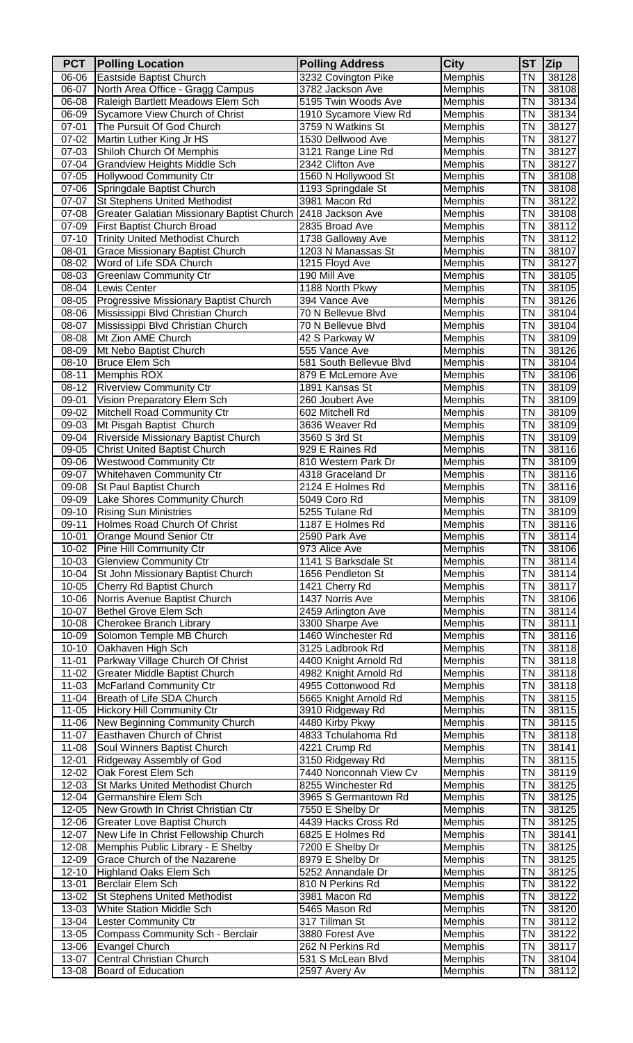| <b>PCT</b>         | <b>Polling Location</b>                                                   | <b>Polling Address</b>                        | City               | <b>ST</b> | <b>Zip</b>     |
|--------------------|---------------------------------------------------------------------------|-----------------------------------------------|--------------------|-----------|----------------|
| 06-06              | Eastside Baptist Church                                                   | 3232 Covington Pike                           | Memphis            | ΤN        | 38128          |
| 06-07              | North Area Office - Gragg Campus                                          | 3782 Jackson Ave                              | Memphis            | ΤN        | 38108          |
| 06-08              | Raleigh Bartlett Meadows Elem Sch                                         | 5195 Twin Woods Ave                           | Memphis            | ΤN        | 38134          |
| 06-09<br>$07 - 01$ | Sycamore View Church of Christ<br>The Pursuit Of God Church               | 1910 Sycamore View Rd<br>3759 N Watkins St    | Memphis            | ΤN<br>ΤN  | 38134<br>38127 |
| 07-02              | Martin Luther King Jr HS                                                  | 1530 Dellwood Ave                             | Memphis<br>Memphis | ΤN        | 38127          |
| 07-03              | Shiloh Church Of Memphis                                                  | 3121 Range Line Rd                            | Memphis            | ΤN        | 38127          |
| 07-04              | <b>Grandview Heights Middle Sch</b>                                       | 2342 Clifton Ave                              | Memphis            | ΤN        | 38127          |
| 07-05              | Hollywood Community Ctr                                                   | 1560 N Hollywood St                           | Memphis            | ΤN        | 38108          |
| 07-06              | Springdale Baptist Church                                                 | 1193 Springdale St                            | Memphis            | ΤN        | 38108          |
| 07-07              | <b>St Stephens United Methodist</b>                                       | 3981 Macon Rd                                 | Memphis            | ΤN        | 38122          |
| 07-08              | Greater Galatian Missionary Baptist Church                                | 2418 Jackson Ave                              | Memphis            | ΤN        | 38108          |
| 07-09              | First Baptist Church Broad                                                | 2835 Broad Ave                                | Memphis            | ΤN        | 38112          |
| $07-10$<br>08-01   | <b>Trinity United Methodist Church</b><br>Grace Missionary Baptist Church | 1738 Galloway Ave<br>1203 N Manassas St       | Memphis<br>Memphis | ΤN<br>ΤN  | 38112<br>38107 |
| 08-02              | Word of Life SDA Church                                                   | 1215 Floyd Ave                                | Memphis            | ΤN        | 38127          |
| 08-03              | <b>Greenlaw Community Ctr</b>                                             | 190 Mill Ave                                  | Memphis            | ΤN        | 38105          |
| 08-04              | Lewis Center                                                              | 1188 North Pkwy                               | Memphis            | ΤN        | 38105          |
| 08-05              | Progressive Missionary Baptist Church                                     | 394 Vance Ave                                 | Memphis            | ΤN        | 38126          |
| 08-06              | Mississippi Blvd Christian Church                                         | 70 N Bellevue Blvd                            | Memphis            | ΤN        | 38104          |
| 08-07              | Mississippi Blvd Christian Church                                         | 70 N Bellevue Blvd                            | Memphis            | ΤN        | 38104          |
| 08-08              | Mt Zion AME Church                                                        | 42 S Parkway W                                | Memphis            | ΤN        | 38109          |
| 08-09              | Mt Nebo Baptist Church                                                    | 555 Vance Ave                                 | Memphis            | ΤN        | 38126          |
| 08-10<br>08-11     | <b>Bruce Elem Sch</b><br>Memphis ROX                                      | 581 South Bellevue Blvd<br>879 E McLemore Ave | Memphis<br>Memphis | ΤN<br>ΤN  | 38104<br>38106 |
| 08-12              | <b>Riverview Community Ctr</b>                                            | 1891 Kansas St                                | Memphis            | ΤN        | 38109          |
| 09-01              | Vision Preparatory Elem Sch                                               | 260 Joubert Ave                               | Memphis            | ΤN        | 38109          |
| 09-02              | Mitchell Road Community Ctr                                               | 602 Mitchell Rd                               | Memphis            | ΤN        | 38109          |
| 09-03              | Mt Pisgah Baptist Church                                                  | 3636 Weaver Rd                                | Memphis            | ΤN        | 38109          |
| 09-04              | Riverside Missionary Baptist Church                                       | 3560 S 3rd St                                 | Memphis            | ΤN        | 38109          |
| 09-05              | <b>Christ United Baptist Church</b>                                       | 929 E Raines Rd                               | Memphis            | ΤN        | 38116          |
| 09-06              | <b>Westwood Community Ctr</b>                                             | 810 Western Park Dr                           | Memphis            | ΤN        | 38109          |
| 09-07              | <b>Whitehaven Community Ctr</b>                                           | 4318 Graceland Dr                             | Memphis            | ΤN        | 38116          |
| 09-08              | St Paul Baptist Church                                                    | 2124 E Holmes Rd<br>5049 Coro Rd              | Memphis            | ΤN<br>ΤN  | 38116          |
| 09-09<br>09-10     | Lake Shores Community Church<br><b>Rising Sun Ministries</b>              | 5255 Tulane Rd                                | Memphis<br>Memphis | ΤN        | 38109<br>38109 |
| 09-11              | Holmes Road Church Of Christ                                              | 1187 E Holmes Rd                              | Memphis            | ΤN        | 38116          |
| 10-01              | Orange Mound Senior Ctr                                                   | 2590 Park Ave                                 | Memphis            | TN        | 38114          |
| $10 - 02$          | Pine Hill Community Ctr                                                   | 973 Alice Ave                                 | Memphis            | ΤN        | 38106          |
| 10-03              | <b>Glenview Community Ctr</b>                                             | 1141 S Barksdale St                           | Memphis            | ΤN        | 38114          |
| 10-04              | St John Missionary Baptist Church                                         | 1656 Pendleton St                             | Memphis            | ΤN        | 38114          |
| 10-05              | Cherry Rd Baptist Church                                                  | 1421 Cherry Rd                                | Memphis            | ΤN        | 38117          |
| 10-06              | Norris Avenue Baptist Church                                              | 1437 Norris Ave                               | Memphis            | ΤN        | 38106          |
| 10-07<br>10-08     | <b>Bethel Grove Elem Sch</b>                                              | 2459 Arlington Ave                            | Memphis            | ΤN<br>ΤN  | 38114<br>38111 |
| 10-09              | Cherokee Branch Library<br>Solomon Temple MB Church                       | 3300 Sharpe Ave<br>1460 Winchester Rd         | Memphis<br>Memphis | ΤN        | 38116          |
| $10 - 10$          | Oakhaven High Sch                                                         | 3125 Ladbrook Rd                              | Memphis            | ΤN        | 38118          |
| $11 - 01$          | Parkway Village Church Of Christ                                          | 4400 Knight Arnold Rd                         | Memphis            | ΤN        | 38118          |
| $11 - 02$          | Greater Middle Baptist Church                                             | 4982 Knight Arnold Rd                         | Memphis            | ΤN        | 38118          |
| $11 - 03$          | <b>McFarland Community Ctr</b>                                            | 4955 Cottonwood Rd                            | Memphis            | ΤN        | 38118          |
| 11-04              | Breath of Life SDA Church                                                 | 5665 Knight Arnold Rd                         | Memphis            | ΤN        | 38115          |
| $11 - 05$          | <b>Hickory Hill Community Ctr</b>                                         | 3910 Ridgeway Rd                              | Memphis            | ΤN        | 38115          |
| 11-06              | New Beginning Community Church                                            | 4480 Kirby Pkwy                               | Memphis            | ΤN        | 38115          |
| 11-07<br>11-08     | Easthaven Church of Christ<br>Soul Winners Baptist Church                 | 4833 Tchulahoma Rd<br>4221 Crump Rd           | Memphis<br>Memphis | ΤN<br>ΤN  | 38118<br>38141 |
| $12 - 01$          | Ridgeway Assembly of God                                                  | 3150 Ridgeway Rd                              | Memphis            | ΤN        | 38115          |
| 12-02              | Oak Forest Elem Sch                                                       | 7440 Nonconnah View Cv                        | Memphis            | ΤN        | 38119          |
| 12-03              | <b>St Marks United Methodist Church</b>                                   | 8255 Winchester Rd                            | Memphis            | ΤN        | 38125          |
| 12-04              | Germanshire Elem Sch                                                      | 3965 S Germantown Rd                          | Memphis            | ΤN        | 38125          |
| 12-05              | New Growth In Christ Christian Ctr                                        | 7550 E Shelby Dr                              | Memphis            | ΤN        | 38125          |
| 12-06              | <b>Greater Love Baptist Church</b>                                        | 4439 Hacks Cross Rd                           | Memphis            | ΤN        | 38125          |
| 12-07              | New Life In Christ Fellowship Church                                      | 6825 E Holmes Rd                              | Memphis            | ΤN        | 38141          |
| 12-08              | Memphis Public Library - E Shelby                                         | 7200 E Shelby Dr                              | Memphis            | ΤN        | 38125          |
| 12-09              | Grace Church of the Nazarene                                              | 8979 E Shelby Dr                              | Memphis            | ΤN<br>ΤN  | 38125<br>38125 |
| 12-10<br>13-01     | Highland Oaks Elem Sch<br>Berclair Elem Sch                               | 5252 Annandale Dr<br>810 N Perkins Rd         | Memphis<br>Memphis | ΤN        | 38122          |
| 13-02              | <b>St Stephens United Methodist</b>                                       | 3981 Macon Rd                                 | Memphis            | ΤN        | 38122          |
| 13-03              | White Station Middle Sch                                                  | 5465 Mason Rd                                 | Memphis            | ΤN        | 38120          |
| 13-04              | <b>Lester Community Ctr</b>                                               | 317 Tillman St                                | Memphis            | ΤN        | 38112          |
| 13-05              | Compass Community Sch - Berclair                                          | 3880 Forest Ave                               | Memphis            | ΤN        | 38122          |
| 13-06              | Evangel Church                                                            | 262 N Perkins Rd                              | Memphis            | ΤN        | 38117          |
| 13-07              | <b>Central Christian Church</b>                                           | 531 S McLean Blvd                             | Memphis            | ΤN        | 38104          |
| 13-08              | Board of Education                                                        | 2597 Avery Av                                 | Memphis            | TN        | 38112          |